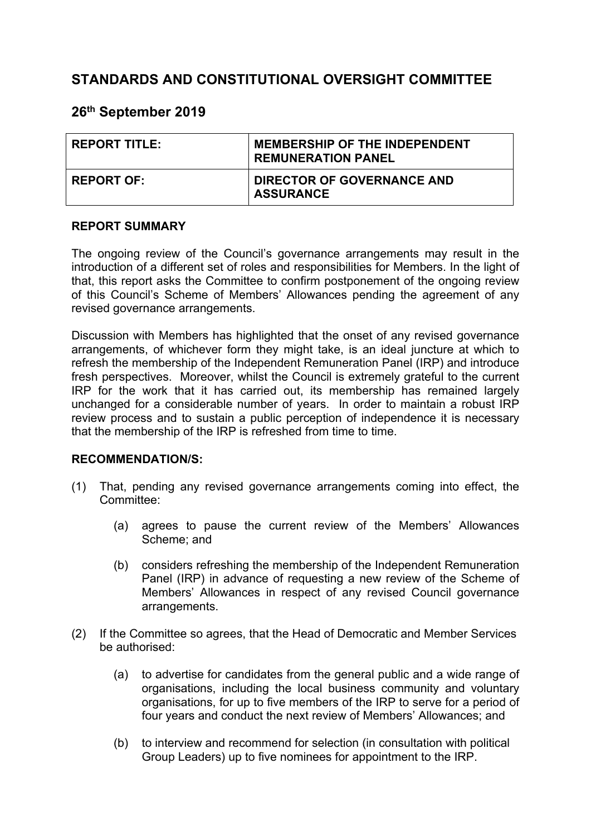# **STANDARDS AND CONSTITUTIONAL OVERSIGHT COMMITTEE**

# **26th September 2019**

| <b>REPORT TITLE:</b> | <b>MEMBERSHIP OF THE INDEPENDENT</b><br><b>REMUNERATION PANEL</b> |
|----------------------|-------------------------------------------------------------------|
| <b>REPORT OF:</b>    | <b>DIRECTOR OF GOVERNANCE AND</b><br><b>ASSURANCE</b>             |

#### **REPORT SUMMARY**

The ongoing review of the Council's governance arrangements may result in the introduction of a different set of roles and responsibilities for Members. In the light of that, this report asks the Committee to confirm postponement of the ongoing review of this Council's Scheme of Members' Allowances pending the agreement of any revised governance arrangements.

Discussion with Members has highlighted that the onset of any revised governance arrangements, of whichever form they might take, is an ideal juncture at which to refresh the membership of the Independent Remuneration Panel (IRP) and introduce fresh perspectives. Moreover, whilst the Council is extremely grateful to the current IRP for the work that it has carried out, its membership has remained largely unchanged for a considerable number of years. In order to maintain a robust IRP review process and to sustain a public perception of independence it is necessary that the membership of the IRP is refreshed from time to time.

#### **RECOMMENDATION/S:**

- (1) That, pending any revised governance arrangements coming into effect, the Committee:
	- (a) agrees to pause the current review of the Members' Allowances Scheme; and
	- (b) considers refreshing the membership of the Independent Remuneration Panel (IRP) in advance of requesting a new review of the Scheme of Members' Allowances in respect of any revised Council governance arrangements.
- (2) If the Committee so agrees, that the Head of Democratic and Member Services be authorised:
	- (a) to advertise for candidates from the general public and a wide range of organisations, including the local business community and voluntary organisations, for up to five members of the IRP to serve for a period of four years and conduct the next review of Members' Allowances; and
	- (b) to interview and recommend for selection (in consultation with political Group Leaders) up to five nominees for appointment to the IRP.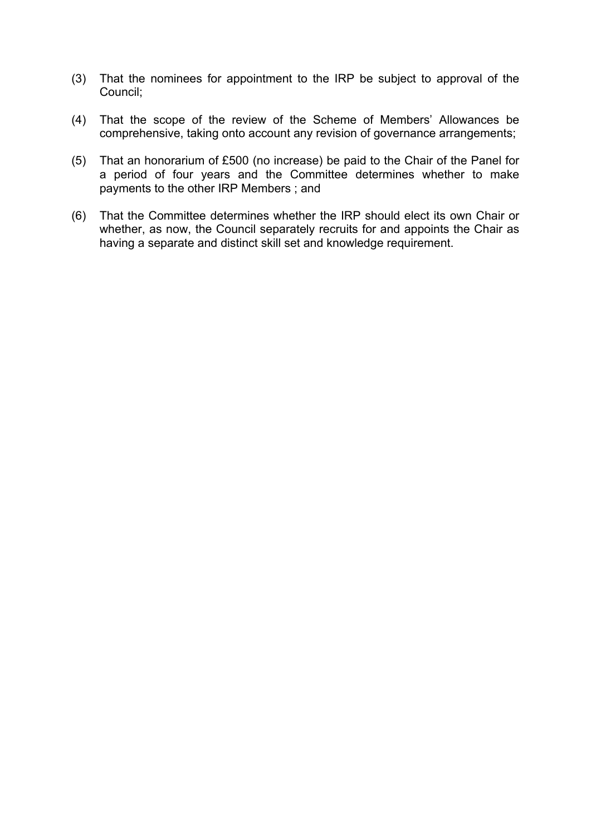- (3) That the nominees for appointment to the IRP be subject to approval of the Council;
- (4) That the scope of the review of the Scheme of Members' Allowances be comprehensive, taking onto account any revision of governance arrangements;
- (5) That an honorarium of £500 (no increase) be paid to the Chair of the Panel for a period of four years and the Committee determines whether to make payments to the other IRP Members ; and
- (6) That the Committee determines whether the IRP should elect its own Chair or whether, as now, the Council separately recruits for and appoints the Chair as having a separate and distinct skill set and knowledge requirement.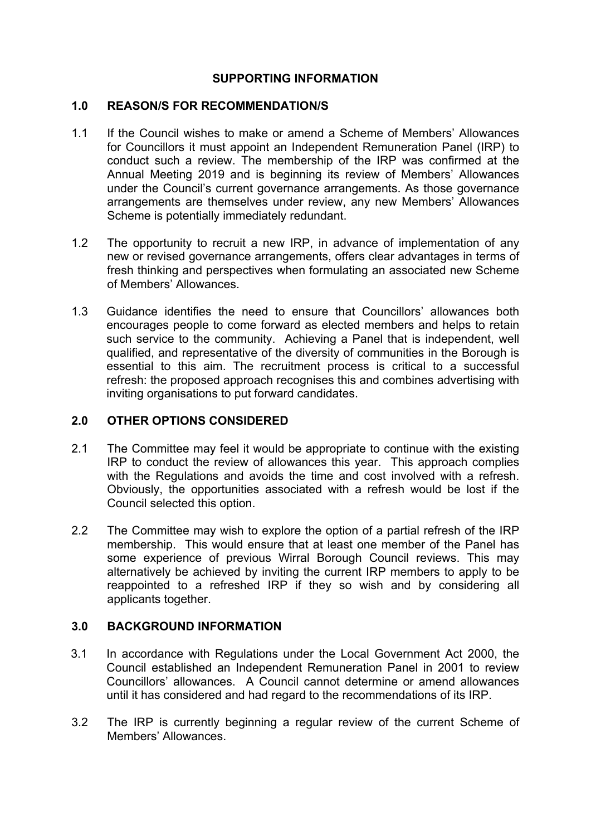### **SUPPORTING INFORMATION**

#### **1.0 REASON/S FOR RECOMMENDATION/S**

- 1.1 If the Council wishes to make or amend a Scheme of Members' Allowances for Councillors it must appoint an Independent Remuneration Panel (IRP) to conduct such a review. The membership of the IRP was confirmed at the Annual Meeting 2019 and is beginning its review of Members' Allowances under the Council's current governance arrangements. As those governance arrangements are themselves under review, any new Members' Allowances Scheme is potentially immediately redundant.
- 1.2 The opportunity to recruit a new IRP, in advance of implementation of any new or revised governance arrangements, offers clear advantages in terms of fresh thinking and perspectives when formulating an associated new Scheme of Members' Allowances.
- 1.3 Guidance identifies the need to ensure that Councillors' allowances both encourages people to come forward as elected members and helps to retain such service to the community. Achieving a Panel that is independent, well qualified, and representative of the diversity of communities in the Borough is essential to this aim. The recruitment process is critical to a successful refresh: the proposed approach recognises this and combines advertising with inviting organisations to put forward candidates.

#### **2.0 OTHER OPTIONS CONSIDERED**

- 2.1 The Committee may feel it would be appropriate to continue with the existing IRP to conduct the review of allowances this year. This approach complies with the Regulations and avoids the time and cost involved with a refresh. Obviously, the opportunities associated with a refresh would be lost if the Council selected this option.
- 2.2 The Committee may wish to explore the option of a partial refresh of the IRP membership. This would ensure that at least one member of the Panel has some experience of previous Wirral Borough Council reviews. This may alternatively be achieved by inviting the current IRP members to apply to be reappointed to a refreshed IRP if they so wish and by considering all applicants together.

### **3.0 BACKGROUND INFORMATION**

- 3.1 In accordance with Regulations under the Local Government Act 2000, the Council established an Independent Remuneration Panel in 2001 to review Councillors' allowances. A Council cannot determine or amend allowances until it has considered and had regard to the recommendations of its IRP.
- 3.2 The IRP is currently beginning a regular review of the current Scheme of Members' Allowances.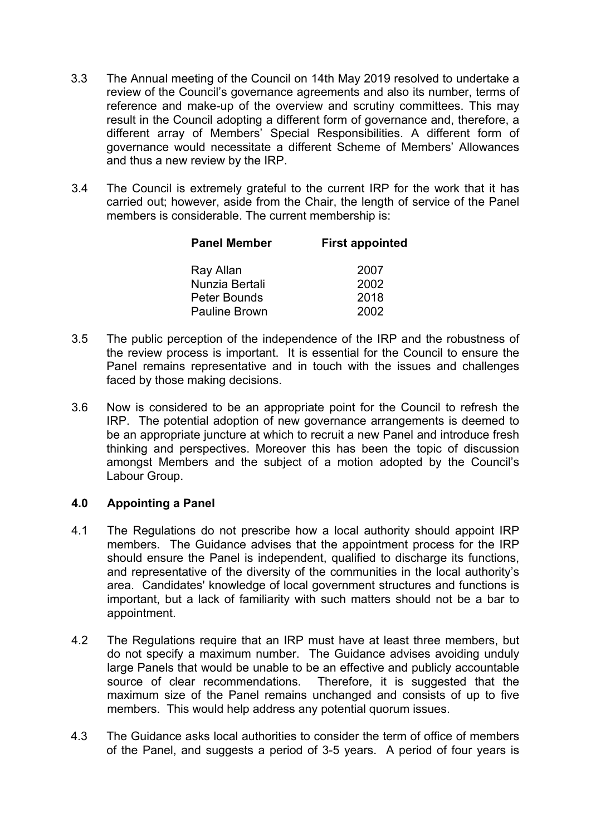- 3.3 The Annual meeting of the Council on 14th May 2019 resolved to undertake a review of the Council's governance agreements and also its number, terms of reference and make-up of the overview and scrutiny committees. This may result in the Council adopting a different form of governance and, therefore, a different array of Members' Special Responsibilities. A different form of governance would necessitate a different Scheme of Members' Allowances and thus a new review by the IRP.
- 3.4 The Council is extremely grateful to the current IRP for the work that it has carried out; however, aside from the Chair, the length of service of the Panel members is considerable. The current membership is:

| <b>Panel Member</b>  | <b>First appointed</b> |  |
|----------------------|------------------------|--|
| Ray Allan            | 2007                   |  |
| Nunzia Bertali       | 2002                   |  |
| <b>Peter Bounds</b>  | 2018                   |  |
| <b>Pauline Brown</b> | 2002                   |  |

- 3.5 The public perception of the independence of the IRP and the robustness of the review process is important. It is essential for the Council to ensure the Panel remains representative and in touch with the issues and challenges faced by those making decisions.
- 3.6 Now is considered to be an appropriate point for the Council to refresh the IRP. The potential adoption of new governance arrangements is deemed to be an appropriate juncture at which to recruit a new Panel and introduce fresh thinking and perspectives. Moreover this has been the topic of discussion amongst Members and the subject of a motion adopted by the Council's Labour Group.

#### **4.0 Appointing a Panel**

- 4.1 The Regulations do not prescribe how a local authority should appoint IRP members. The Guidance advises that the appointment process for the IRP should ensure the Panel is independent, qualified to discharge its functions, and representative of the diversity of the communities in the local authority's area. Candidates' knowledge of local government structures and functions is important, but a lack of familiarity with such matters should not be a bar to appointment.
- 4.2 The Regulations require that an IRP must have at least three members, but do not specify a maximum number. The Guidance advises avoiding unduly large Panels that would be unable to be an effective and publicly accountable source of clear recommendations. Therefore, it is suggested that the maximum size of the Panel remains unchanged and consists of up to five members. This would help address any potential quorum issues.
- 4.3 The Guidance asks local authorities to consider the term of office of members of the Panel, and suggests a period of 3-5 years. A period of four years is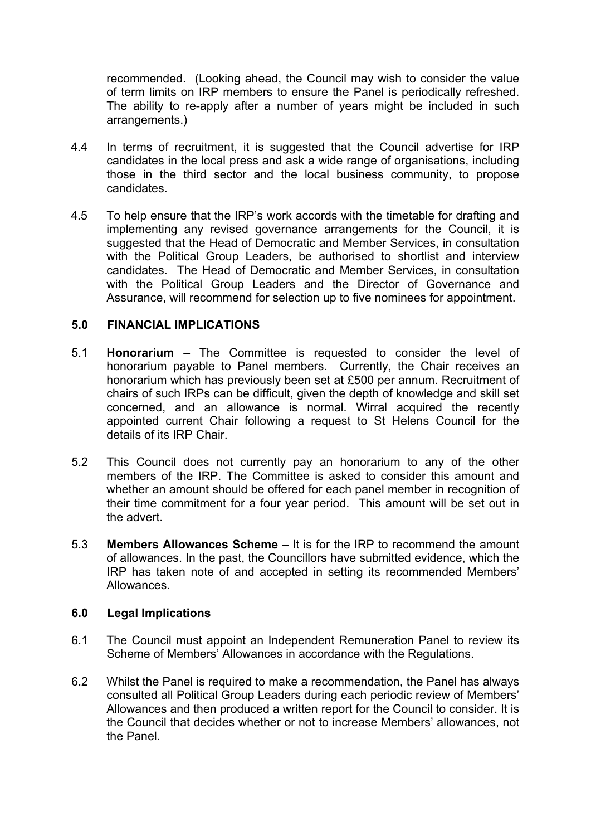recommended. (Looking ahead, the Council may wish to consider the value of term limits on IRP members to ensure the Panel is periodically refreshed. The ability to re-apply after a number of years might be included in such arrangements.)

- 4.4 In terms of recruitment, it is suggested that the Council advertise for IRP candidates in the local press and ask a wide range of organisations, including those in the third sector and the local business community, to propose candidates.
- 4.5 To help ensure that the IRP's work accords with the timetable for drafting and implementing any revised governance arrangements for the Council, it is suggested that the Head of Democratic and Member Services, in consultation with the Political Group Leaders, be authorised to shortlist and interview candidates. The Head of Democratic and Member Services, in consultation with the Political Group Leaders and the Director of Governance and Assurance, will recommend for selection up to five nominees for appointment.

#### **5.0 FINANCIAL IMPLICATIONS**

- 5.1 **Honorarium** The Committee is requested to consider the level of honorarium payable to Panel members. Currently, the Chair receives an honorarium which has previously been set at £500 per annum. Recruitment of chairs of such IRPs can be difficult, given the depth of knowledge and skill set concerned, and an allowance is normal. Wirral acquired the recently appointed current Chair following a request to St Helens Council for the details of its IRP Chair.
- 5.2 This Council does not currently pay an honorarium to any of the other members of the IRP. The Committee is asked to consider this amount and whether an amount should be offered for each panel member in recognition of their time commitment for a four year period. This amount will be set out in the advert.
- 5.3 **Members Allowances Scheme** It is for the IRP to recommend the amount of allowances. In the past, the Councillors have submitted evidence, which the IRP has taken note of and accepted in setting its recommended Members' Allowances.

#### **6.0 Legal Implications**

- 6.1 The Council must appoint an Independent Remuneration Panel to review its Scheme of Members' Allowances in accordance with the Regulations.
- 6.2 Whilst the Panel is required to make a recommendation, the Panel has always consulted all Political Group Leaders during each periodic review of Members' Allowances and then produced a written report for the Council to consider. It is the Council that decides whether or not to increase Members' allowances, not the Panel.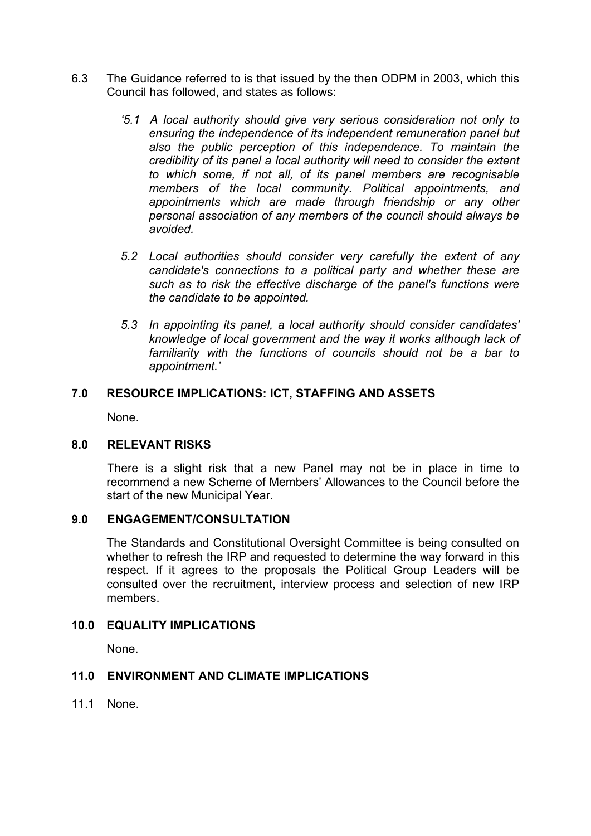- 6.3 The Guidance referred to is that issued by the then ODPM in 2003, which this Council has followed, and states as follows:
	- *'5.1 A local authority should give very serious consideration not only to ensuring the independence of its independent remuneration panel but also the public perception of this independence. To maintain the credibility of its panel a local authority will need to consider the extent to which some, if not all, of its panel members are recognisable members of the local community. Political appointments, and appointments which are made through friendship or any other personal association of any members of the council should always be avoided.*
	- *5.2 Local authorities should consider very carefully the extent of any candidate's connections to a political party and whether these are such as to risk the effective discharge of the panel's functions were the candidate to be appointed.*
	- *5.3 In appointing its panel, a local authority should consider candidates' knowledge of local government and the way it works although lack of familiarity with the functions of councils should not be a bar to appointment.'*

#### **7.0 RESOURCE IMPLICATIONS: ICT, STAFFING AND ASSETS**

None.

#### **8.0 RELEVANT RISKS**

There is a slight risk that a new Panel may not be in place in time to recommend a new Scheme of Members' Allowances to the Council before the start of the new Municipal Year.

#### **9.0 ENGAGEMENT/CONSULTATION**

The Standards and Constitutional Oversight Committee is being consulted on whether to refresh the IRP and requested to determine the way forward in this respect. If it agrees to the proposals the Political Group Leaders will be consulted over the recruitment, interview process and selection of new IRP members.

#### **10.0 EQUALITY IMPLICATIONS**

None.

## **11.0 ENVIRONMENT AND CLIMATE IMPLICATIONS**

11.1 None.